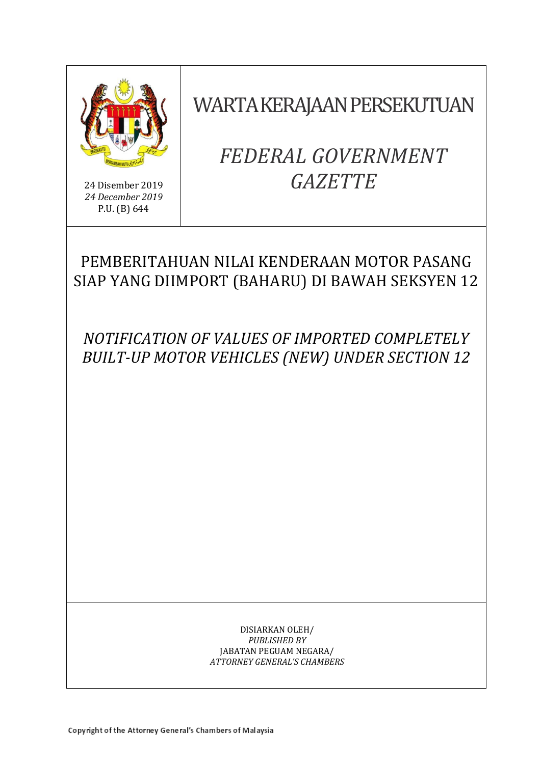

24 Disember 2019 *24 December 2019* P.U. (B) 644

WARTA KERAJAAN PERSEKUTUAN

# *FEDERAL GOVERNMENT GAZETTE*

# PEMBERITAHUAN NILAI KENDERAAN MOTOR PASANG SIAP YANG DIIMPORT (BAHARU) DI BAWAH SEKSYEN 12

*NOTIFICATION OF VALUES OF IMPORTED COMPLETELY BUILT-UP MOTOR VEHICLES (NEW) UNDER SECTION 12* 

> DISIARKAN OLEH/ *PUBLISHED BY* JABATAN PEGUAM NEGARA/ *ATTORNEY GENERAL'S CHAMBERS*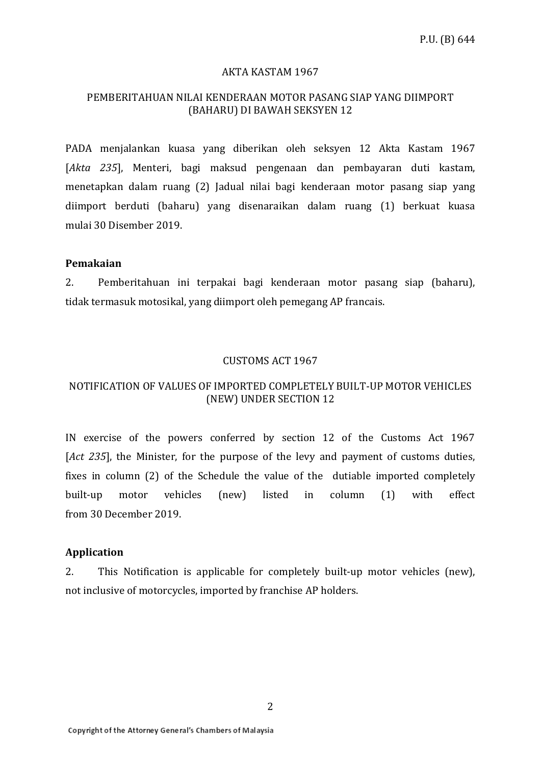#### AKTA KASTAM 1967

### PEMBERITAHUAN NILAI KENDERAAN MOTOR PASANG SIAP YANG DIIMPORT (BAHARU) DI BAWAH SEKSYEN 12

PADA menjalankan kuasa yang diberikan oleh seksyen 12 Akta Kastam 1967 [*Akta 235*], Menteri, bagi maksud pengenaan dan pembayaran duti kastam, menetapkan dalam ruang (2) Jadual nilai bagi kenderaan motor pasang siap yang diimport berduti (baharu) yang disenaraikan dalam ruang (1) berkuat kuasa mulai 30 Disember 2019.

#### **Pemakaian**

2. Pemberitahuan ini terpakai bagi kenderaan motor pasang siap (baharu), tidak termasuk motosikal, yang diimport oleh pemegang AP francais.

#### CUSTOMS ACT 1967

## NOTIFICATION OF VALUES OF IMPORTED COMPLETELY BUILT-UP MOTOR VEHICLES (NEW) UNDER SECTION 12

IN exercise of the powers conferred by section 12 of the Customs Act 1967 [*Act 235*], the Minister, for the purpose of the levy and payment of customs duties, fixes in column (2) of the Schedule the value of the dutiable imported completely built-up motor vehicles (new) listed in column (1) with effect from 30 December 2019.

#### **Application**

2. This Notification is applicable for completely built-up motor vehicles (new), not inclusive of motorcycles, imported by franchise AP holders.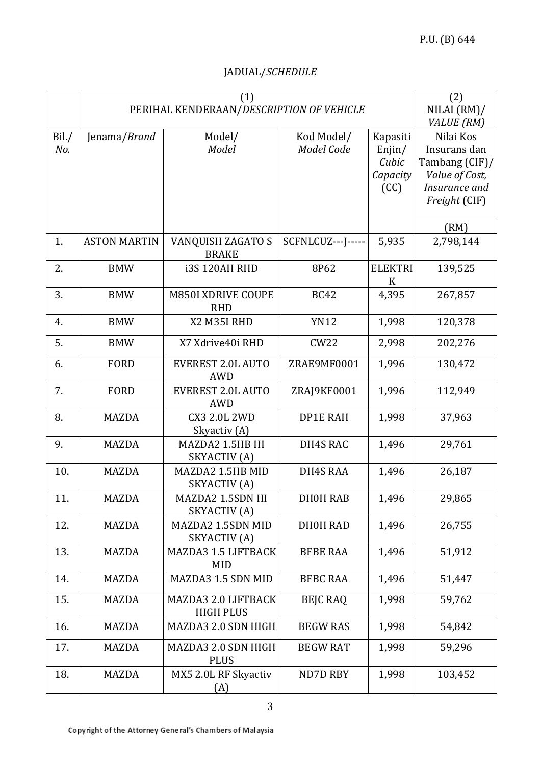# JADUAL/*SCHEDULE*

|              | PERIHAL KENDERAAN/DESCRIPTION OF VEHICLE | (2)<br>NILAI (RM)<br>VALUE (RM)         |                          |                                                 |                                                                                                 |
|--------------|------------------------------------------|-----------------------------------------|--------------------------|-------------------------------------------------|-------------------------------------------------------------------------------------------------|
| Bil./<br>No. | Jenama/Brand                             | Model/<br>Model                         | Kod Model/<br>Model Code | Kapasiti<br>Enjin/<br>Cubic<br>Capacity<br>(CC) | Nilai Kos<br>Insurans dan<br>Tambang (CIF)/<br>Value of Cost,<br>Insurance and<br>Freight (CIF) |
| 1.           | <b>ASTON MARTIN</b>                      | VANQUISH ZAGATO S<br><b>BRAKE</b>       | SCFNLCUZ---J-----        | 5,935                                           | (RM)<br>2,798,144                                                                               |
| 2.           | <b>BMW</b>                               | <b>i3S 120AH RHD</b>                    | 8P62                     | <b>ELEKTRI</b><br>K                             | 139,525                                                                                         |
| 3.           | <b>BMW</b>                               | <b>M850I XDRIVE COUPE</b><br><b>RHD</b> | <b>BC42</b>              | 4,395                                           | 267,857                                                                                         |
| 4.           | <b>BMW</b>                               | X2 M35I RHD                             | <b>YN12</b>              | 1,998                                           | 120,378                                                                                         |
| 5.           | <b>BMW</b>                               | X7 Xdrive40i RHD                        | CW22                     | 2,998                                           | 202,276                                                                                         |
| 6.           | <b>FORD</b>                              | <b>EVEREST 2.0L AUTO</b><br><b>AWD</b>  | ZRAE9MF0001              | 1,996                                           | 130,472                                                                                         |
| 7.           | <b>FORD</b>                              | <b>EVEREST 2.0L AUTO</b><br><b>AWD</b>  | ZRAJ9KF0001              | 1,996                                           | 112,949                                                                                         |
| 8.           | <b>MAZDA</b>                             | <b>CX3 2.0L 2WD</b><br>Skyactiv (A)     | <b>DP1E RAH</b>          | 1,998                                           | 37,963                                                                                          |
| 9.           | <b>MAZDA</b>                             | MAZDA2 1.5HB HI<br>SKYACTIV (A)         | DH4S RAC                 | 1,496                                           | 29,761                                                                                          |
| 10.          | <b>MAZDA</b>                             | MAZDA2 1.5HB MID<br>SKYACTIV (A)        | DH4S RAA                 | 1,496                                           | 26,187                                                                                          |
| 11.          | MAZDA                                    | MAZDA2 1.5SDN HI<br>SKYACTIV (A)        | DH0H RAB                 | 1,496                                           | 29,865                                                                                          |
| 12.          | <b>MAZDA</b>                             | MAZDA2 1.5SDN MID<br>SKYACTIV (A)       | DH0H RAD                 | 1,496                                           | 26,755                                                                                          |
| 13.          | <b>MAZDA</b>                             | MAZDA3 1.5 LIFTBACK<br><b>MID</b>       | <b>BFBE RAA</b>          | 1,496                                           | 51,912                                                                                          |
| 14.          | MAZDA                                    | MAZDA3 1.5 SDN MID                      | <b>BFBC RAA</b>          | 1,496                                           | 51,447                                                                                          |
| 15.          | <b>MAZDA</b>                             | MAZDA3 2.0 LIFTBACK<br><b>HIGH PLUS</b> | <b>BEIC RAQ</b>          | 1,998                                           | 59,762                                                                                          |
| 16.          | <b>MAZDA</b>                             | MAZDA3 2.0 SDN HIGH                     | <b>BEGW RAS</b>          | 1,998                                           | 54,842                                                                                          |
| 17.          | MAZDA                                    | MAZDA3 2.0 SDN HIGH<br><b>PLUS</b>      | <b>BEGW RAT</b>          | 1,998                                           | 59,296                                                                                          |
| 18.          | MAZDA                                    | MX5 2.0L RF Skyactiv<br>(A)             | ND7D RBY                 | 1,998                                           | 103,452                                                                                         |